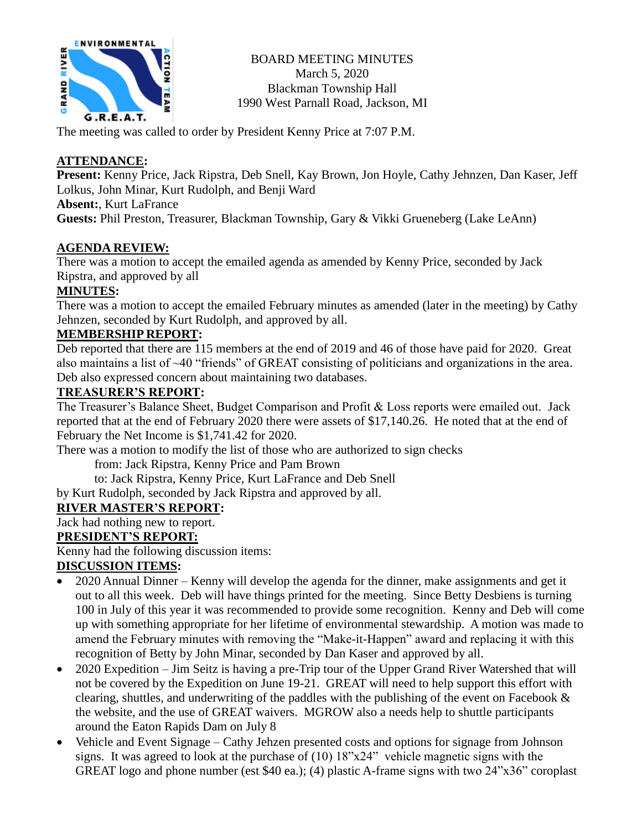

BOARD MEETING MINUTES March 5, 2020 Blackman Township Hall 1990 West Parnall Road, Jackson, MI

The meeting was called to order by President Kenny Price at 7:07 P.M.

## **ATTENDANCE:**

**Present:** Kenny Price, Jack Ripstra, Deb Snell, Kay Brown, Jon Hoyle, Cathy Jehnzen, Dan Kaser, Jeff Lolkus, John Minar, Kurt Rudolph, and Benji Ward

**Absent:**, Kurt LaFrance

**Guests:** Phil Preston, Treasurer, Blackman Township, Gary & Vikki Grueneberg (Lake LeAnn)

### **AGENDA REVIEW:**

There was a motion to accept the emailed agenda as amended by Kenny Price, seconded by Jack Ripstra, and approved by all

### **MINUTES:**

There was a motion to accept the emailed February minutes as amended (later in the meeting) by Cathy Jehnzen, seconded by Kurt Rudolph, and approved by all.

### **MEMBERSHIP REPORT:**

Deb reported that there are 115 members at the end of 2019 and 46 of those have paid for 2020. Great also maintains a list of ~40 "friends" of GREAT consisting of politicians and organizations in the area. Deb also expressed concern about maintaining two databases.

## **TREASURER'S REPORT:**

The Treasurer's Balance Sheet, Budget Comparison and Profit & Loss reports were emailed out. Jack reported that at the end of February 2020 there were assets of \$17,140.26. He noted that at the end of February the Net Income is \$1,741.42 for 2020.

There was a motion to modify the list of those who are authorized to sign checks

from: Jack Ripstra, Kenny Price and Pam Brown

to: Jack Ripstra, Kenny Price, Kurt LaFrance and Deb Snell

by Kurt Rudolph, seconded by Jack Ripstra and approved by all.

# **RIVER MASTER'S REPORT:**

Jack had nothing new to report.

# **PRESIDENT'S REPORT:**

Kenny had the following discussion items:

# **DISCUSSION ITEMS:**

- 2020 Annual Dinner Kenny will develop the agenda for the dinner, make assignments and get it out to all this week. Deb will have things printed for the meeting. Since Betty Desbiens is turning 100 in July of this year it was recommended to provide some recognition. Kenny and Deb will come up with something appropriate for her lifetime of environmental stewardship. A motion was made to amend the February minutes with removing the "Make-it-Happen" award and replacing it with this recognition of Betty by John Minar, seconded by Dan Kaser and approved by all.
- 2020 Expedition Jim Seitz is having a pre-Trip tour of the Upper Grand River Watershed that will not be covered by the Expedition on June 19-21. GREAT will need to help support this effort with clearing, shuttles, and underwriting of the paddles with the publishing of the event on Facebook & the website, and the use of GREAT waivers. MGROW also a needs help to shuttle participants around the Eaton Rapids Dam on July 8
- Vehicle and Event Signage Cathy Jehzen presented costs and options for signage from Johnson signs. It was agreed to look at the purchase of (10) 18"x24" vehicle magnetic signs with the GREAT logo and phone number (est \$40 ea.); (4) plastic A-frame signs with two 24"x36" coroplast